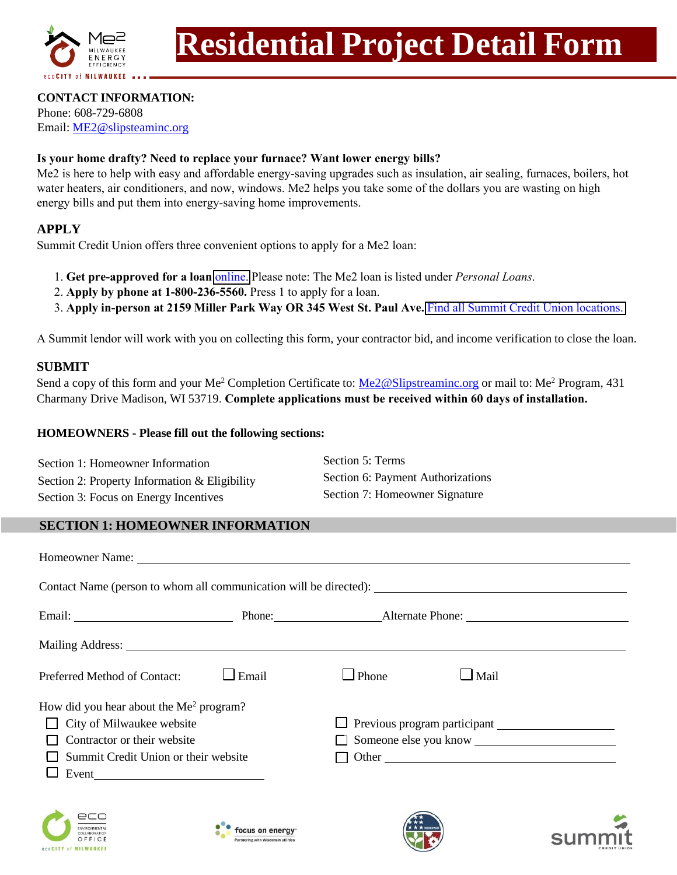

# **CONTACT INFORMATION:**

Phone: 608-729-6808 Email: ME2@slipsteaminc.org

## **Is your home drafty? Need to replace your furnace? Want lower energy bills?**

Me2 is here to help with easy and affordable energy-saving upgrades such as insulation, air sealing, furnaces, boilers, hot water heaters, air conditioners, and now, windows. Me2 helps you take some of the dollars you are wasting on high energy bills and put them into energy-saving home improvements.

# **APPLY**

Summit Credit Union offers three convenient options to apply for a Me2 loan:

- 1. **Get pre-approved for a loan** [online.](https://www.summitcreditunion.com/loans/energy-efficiency-loans) Please note: The Me2 loan is listed under *Personal Loans*.
- 2. **Apply by phone at 1-800-236-5560.** Press 1 to apply for a loan.
- 3. **Apply in-person at 2159 Miller Park Way OR 345 West St. Paul Ave.** [Find all Summit Credit Union locations.](https://www.summitcreditunion.com/locations?loc=true)

A Summit lendor will work with you on collecting this form, your contractor bid, and income verification to close the loan.

# **SUBMIT**

Send a copy of this form and your Me<sup>2</sup> Completion Certificate to: Me2@Slipstreaminc.org or mail to: Me<sup>2</sup> Program, 431 Charmany Drive Madison, WI 53719. **Complete applications must be received within 60 days of installation.**

### **HOMEOWNERS - Please fill out the following sections:**

| Section 1: Homeowner Information              | Section 5: Terms                  |
|-----------------------------------------------|-----------------------------------|
| Section 2: Property Information & Eligibility | Section 6: Payment Authorizations |
| Section 3: Focus on Energy Incentives         | Section 7: Homeowner Signature    |

# **SECTION 1: HOMEOWNER INFORMATION**

| Homeowner Name: Name:                                                                                                                                                                                                                                                                                                                                                                                                                             |       |              |                                            |  |
|---------------------------------------------------------------------------------------------------------------------------------------------------------------------------------------------------------------------------------------------------------------------------------------------------------------------------------------------------------------------------------------------------------------------------------------------------|-------|--------------|--------------------------------------------|--|
| Contact Name (person to whom all communication will be directed):                                                                                                                                                                                                                                                                                                                                                                                 |       |              |                                            |  |
| Email: <u>New Scholars Phone:</u> Phone: Alternate Phone: Alternate Phone: New York 2014                                                                                                                                                                                                                                                                                                                                                          |       |              |                                            |  |
|                                                                                                                                                                                                                                                                                                                                                                                                                                                   |       |              |                                            |  |
| Preferred Method of Contact:                                                                                                                                                                                                                                                                                                                                                                                                                      | Email | $\Box$ Phone | $\Box$ Mail                                |  |
| How did you hear about the Me <sup>2</sup> program?                                                                                                                                                                                                                                                                                                                                                                                               |       |              |                                            |  |
| $\Box$ City of Milwaukee website                                                                                                                                                                                                                                                                                                                                                                                                                  |       |              | $\Box$ Previous program participant $\Box$ |  |
| Contractor or their website                                                                                                                                                                                                                                                                                                                                                                                                                       |       |              | Someone else you know                      |  |
| Summit Credit Union or their website                                                                                                                                                                                                                                                                                                                                                                                                              |       | Other        |                                            |  |
| Event $\frac{1}{\sqrt{1-\frac{1}{2}} \cdot \frac{1}{\sqrt{1-\frac{1}{2}} \cdot \frac{1}{\sqrt{1-\frac{1}{2}} \cdot \frac{1}{\sqrt{1-\frac{1}{2}} \cdot \frac{1}{\sqrt{1-\frac{1}{2}} \cdot \frac{1}{\sqrt{1-\frac{1}{2}} \cdot \frac{1}{\sqrt{1-\frac{1}{2}} \cdot \frac{1}{\sqrt{1-\frac{1}{2}} \cdot \frac{1}{\sqrt{1-\frac{1}{2}} \cdot \frac{1}{\sqrt{1-\frac{1}{2}} \cdot \frac{1}{\sqrt{1-\frac{1}{2}} \cdot \frac{1}{\sqrt{1-\frac{1}{2}}$ |       |              |                                            |  |
|                                                                                                                                                                                                                                                                                                                                                                                                                                                   |       |              |                                            |  |







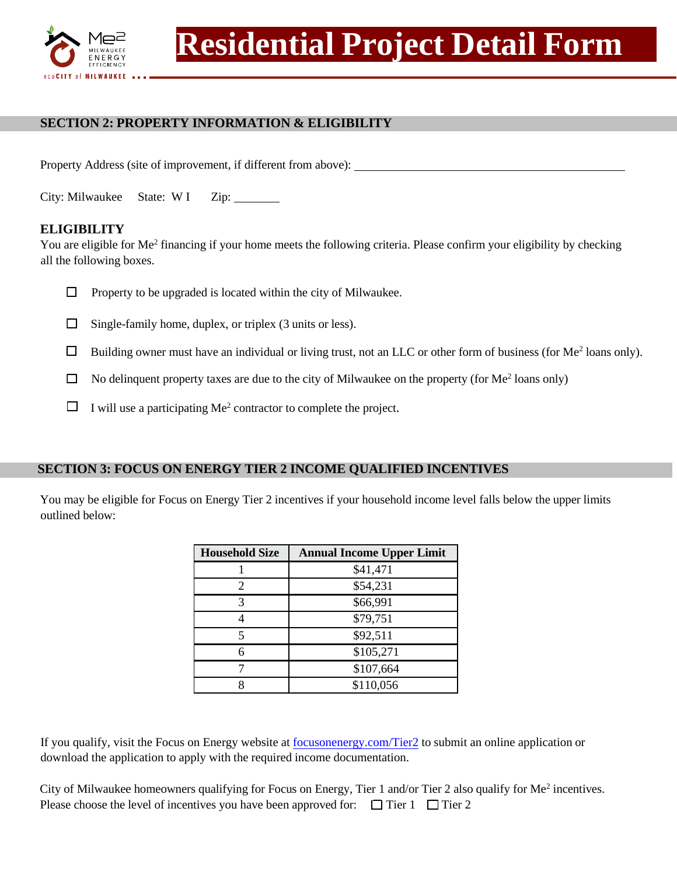

# **SECTION 2: PROPERTY INFORMATION & ELIGIBILITY**

Property Address (site of improvement, if different from above):

City: Milwaukee State: W I Zip:

# **ELIGIBILITY**

You are eligible for Me<sup>2</sup> financing if your home meets the following criteria. Please confirm your eligibility by checking all the following boxes.

- $\Box$  Property to be upgraded is located within the city of Milwaukee.
- $\Box$  Single-family home, duplex, or triplex (3 units or less).
- $\Box$  Building owner must have an individual or living trust, not an LLC or other form of business (for Me<sup>2</sup> loans only).
- $\Box$  No delinquent property taxes are due to the city of Milwaukee on the property (for Me<sup>2</sup> loans only)
- $\Box$  I will use a participating Me<sup>2</sup> contractor to complete the project.

#### **SECTION 3: FOCUS ON ENERGY TIER 2 INCOME QUALIFIED INCENTIVES**

You may be eligible for Focus on Energy Tier 2 incentives if your household income level falls below the upper limits outlined below:

| <b>Household Size</b> | <b>Annual Income Upper Limit</b> |  |  |
|-----------------------|----------------------------------|--|--|
|                       | \$41,471                         |  |  |
|                       | \$54,231                         |  |  |
|                       | \$66,991                         |  |  |
|                       | \$79,751                         |  |  |
|                       | \$92,511                         |  |  |
|                       | \$105,271                        |  |  |
|                       | \$107,664                        |  |  |
|                       | \$110,056                        |  |  |

If you qualify, visit the Focus on Energy website at focusonenergy.com/Tier2 to submit an online application or download the application to apply with the required income documentation.

| City of Milwaukee homeowners qualifying for Focus on Energy, Tier 1 and/or Tier 2 also qualify for Me <sup>2</sup> incentives. |  |
|--------------------------------------------------------------------------------------------------------------------------------|--|
| Please choose the level of incentives you have been approved for: $\Box$ Tier 1 $\Box$ Tier 2                                  |  |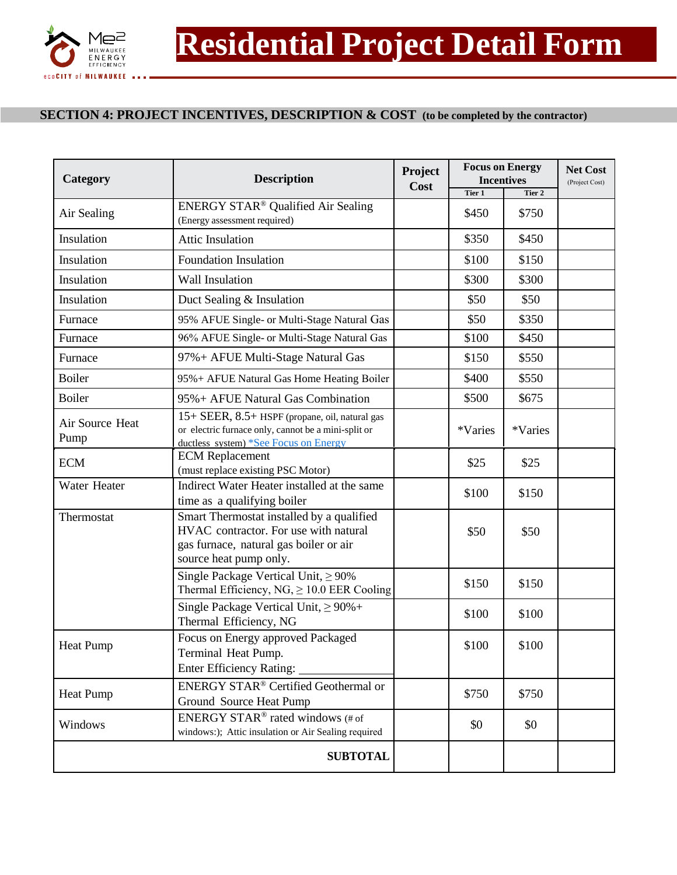

# **SECTION 4: PROJECT INCENTIVES, DESCRIPTION & COST (to be completed by the contractor)**

| <b>Description</b><br>Category |                                                                                                                                                        | Project<br>Cost | <b>Focus on Energy</b><br><b>Incentives</b> |         | <b>Net Cost</b><br>(Project Cost) |
|--------------------------------|--------------------------------------------------------------------------------------------------------------------------------------------------------|-----------------|---------------------------------------------|---------|-----------------------------------|
|                                |                                                                                                                                                        |                 | Tier 1                                      | Tier 2  |                                   |
| Air Sealing                    | ENERGY STAR <sup>®</sup> Qualified Air Sealing<br>(Energy assessment required)                                                                         |                 | \$450                                       | \$750   |                                   |
| Insulation                     | <b>Attic Insulation</b>                                                                                                                                |                 | \$350                                       | \$450   |                                   |
| Insulation                     | <b>Foundation Insulation</b>                                                                                                                           |                 | \$100                                       | \$150   |                                   |
| Insulation                     | <b>Wall Insulation</b>                                                                                                                                 |                 | \$300                                       | \$300   |                                   |
| Insulation                     | Duct Sealing & Insulation                                                                                                                              |                 | \$50                                        | \$50    |                                   |
| Furnace                        | 95% AFUE Single- or Multi-Stage Natural Gas                                                                                                            |                 | \$50                                        | \$350   |                                   |
| Furnace                        | 96% AFUE Single- or Multi-Stage Natural Gas                                                                                                            |                 | \$100                                       | \$450   |                                   |
| Furnace                        | 97%+ AFUE Multi-Stage Natural Gas                                                                                                                      |                 | \$150                                       | \$550   |                                   |
| <b>Boiler</b>                  | 95%+ AFUE Natural Gas Home Heating Boiler                                                                                                              |                 | \$400                                       | \$550   |                                   |
| <b>Boiler</b>                  | 95% + AFUE Natural Gas Combination                                                                                                                     |                 | \$500                                       | \$675   |                                   |
| Air Source Heat<br>Pump        | 15+ SEER, 8.5+ HSPF (propane, oil, natural gas<br>or electric furnace only, cannot be a mini-split or<br>ductless system) *See Focus on Energy         |                 | *Varies                                     | *Varies |                                   |
| <b>ECM</b>                     | <b>ECM</b> Replacement<br>(must replace existing PSC Motor)                                                                                            |                 | \$25                                        | \$25    |                                   |
| Water Heater                   | Indirect Water Heater installed at the same<br>time as a qualifying boiler                                                                             |                 | \$100                                       | \$150   |                                   |
| Thermostat                     | Smart Thermostat installed by a qualified<br>HVAC contractor. For use with natural<br>gas furnace, natural gas boiler or air<br>source heat pump only. |                 | \$50                                        | \$50    |                                   |
|                                | Single Package Vertical Unit, $\geq 90\%$<br>Thermal Efficiency, $NG$ , $\geq 10.0$ EER Cooling                                                        |                 | \$150                                       | \$150   |                                   |
|                                | Single Package Vertical Unit, $\geq 90\% +$<br>Thermal Efficiency, NG                                                                                  |                 | \$100                                       | \$100   |                                   |
| <b>Heat Pump</b>               | Focus on Energy approved Packaged<br>Terminal Heat Pump.<br><b>Enter Efficiency Rating:</b>                                                            |                 | \$100                                       | \$100   |                                   |
| <b>Heat Pump</b>               | <b>ENERGY STAR®</b> Certified Geothermal or<br>Ground Source Heat Pump                                                                                 |                 | \$750                                       | \$750   |                                   |
| Windows                        | ENERGY STAR® rated windows (# of<br>windows:); Attic insulation or Air Sealing required                                                                |                 | \$0                                         | \$0     |                                   |
|                                | <b>SUBTOTAL</b>                                                                                                                                        |                 |                                             |         |                                   |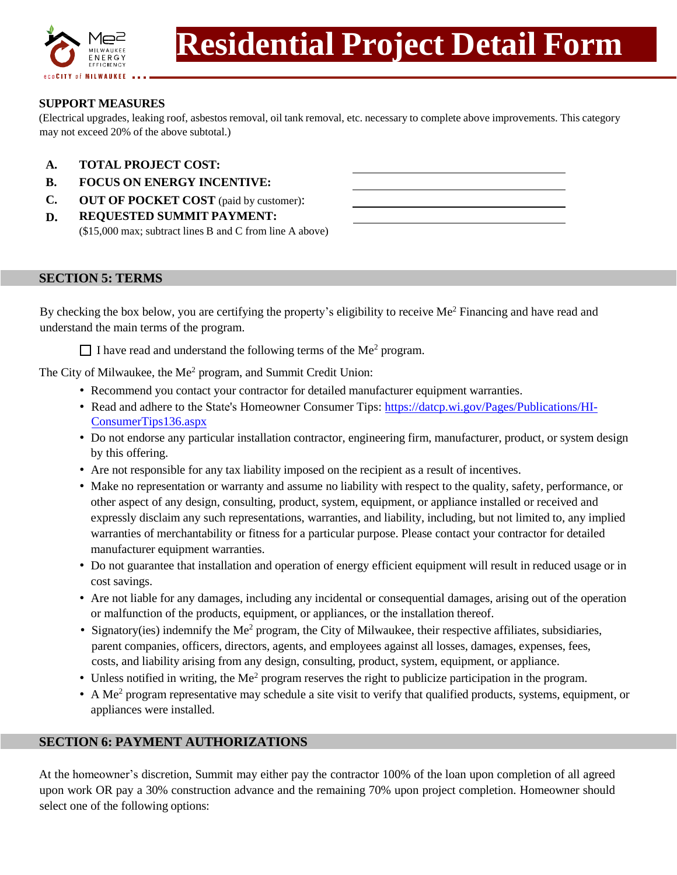

# **SUPPORT MEASURES**

(Electrical upgrades, leaking roof, asbestos removal, oil tank removal, etc. necessary to complete above improvements. This category may not exceed 20% of the above subtotal.)

- **A. TOTAL PROJECT COST:**
- **B. FOCUS ON ENERGY INCENTIVE:**
- **C. OUT OF POCKET COST** (paid by customer):
- **D. REQUESTED SUMMIT PAYMENT:** (\$15,000 max; subtract lines B and C from line A above)

#### **SECTION 5: TERMS**

By checking the box below, you are certifying the property's eligibility to receive Me<sup>2</sup> Financing and have read and understand the main terms of the program.

 $\Box$  I have read and understand the following terms of the Me<sup>2</sup> program.

The City of Milwaukee, the Me<sup>2</sup> program, and Summit Credit Union:

- Recommend you contact your contractor for detailed manufacturer equipment warranties.
- Read and adhere to the State's Homeowner Consumer Tips: [https://datcp.wi.gov/Pages/Publi](https://datcp.wi.gov/Pages/Publications/HI-ConsumerTips136.aspx)cations/HI-[ConsumerTips136.aspx](https://datcp.wi.gov/Pages/Publications/HI-ConsumerTips136.aspx)
- Do not endorse any particular installation contractor, engineering firm, manufacturer, product, or system design by this offering.
- Are not responsible for any tax liability imposed on the recipient as a result of incentives.
- Make no representation or warranty and assume no liability with respect to the quality, safety, performance, or other aspect of any design, consulting, product, system, equipment, or appliance installed or received and expressly disclaim any such representations, warranties, and liability, including, but not limited to, any implied warranties of merchantability or fitness for a particular purpose. Please contact your contractor for detailed manufacturer equipment warranties.
- Do not guarantee that installation and operation of energy efficient equipment will result in reduced usage or in cost savings.
- Are not liable for any damages, including any incidental or consequential damages, arising out of the operation or malfunction of the products, equipment, or appliances, or the installation thereof.
- Signatory(ies) indemnify the Me<sup>2</sup> program, the City of Milwaukee, their respective affiliates, subsidiaries, parent companies, officers, directors, agents, and employees against all losses, damages, expenses, fees, costs, and liability arising from any design, consulting, product, system, equipment, or appliance.
- Unless notified in writing, the  $Me^2$  program reserves the right to publicize participation in the program.
- A Me<sup>2</sup> program representative may schedule a site visit to verify that qualified products, systems, equipment, or appliances were installed.

#### **SECTION 6: PAYMENT AUTHORIZATIONS**

At the homeowner's discretion, Summit may either pay the contractor 100% of the loan upon completion of all agreed upon work OR pay a 30% construction advance and the remaining 70% upon project completion. Homeowner should select one of the following options: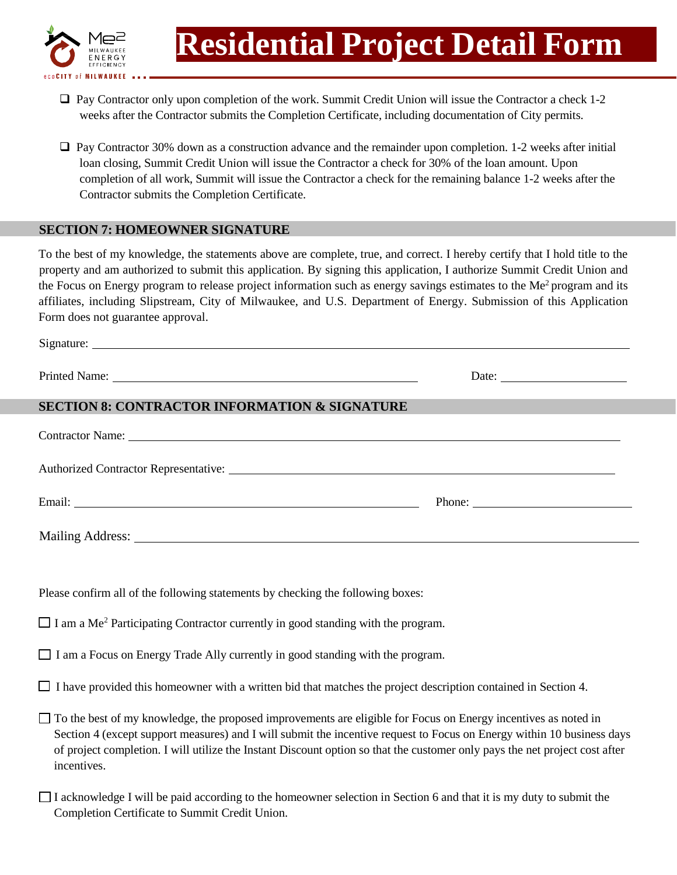

Signature:

- ❑ Pay Contractor only upon completion of the work. Summit Credit Union will issue the Contractor a check 1-2 weeks after the Contractor submits the Completion Certificate, including documentation of City permits.
- ❑ Pay Contractor 30% down as a construction advance and the remainder upon completion. 1-2 weeks after initial loan closing, Summit Credit Union will issue the Contractor a check for 30% of the loan amount. Upon completion of all work, Summit will issue the Contractor a check for the remaining balance 1-2 weeks after the Contractor submits the Completion Certificate.

## **SECTION 7: HOMEOWNER SIGNATURE**

To the best of my knowledge, the statements above are complete, true, and correct. I hereby certify that I hold title to the property and am authorized to submit this application. By signing this application, I authorize Summit Credit Union and the Focus on Energy program to release project information such as energy savings estimates to the Me<sup>2</sup> program and its affiliates, including Slipstream, City of Milwaukee, and U.S. Department of Energy. Submission of this Application Form does not guarantee approval.

|                                                                                                                                      | Date:                                                                                                                                                                                                                                                 |
|--------------------------------------------------------------------------------------------------------------------------------------|-------------------------------------------------------------------------------------------------------------------------------------------------------------------------------------------------------------------------------------------------------|
| <b>SECTION 8: CONTRACTOR INFORMATION &amp; SIGNATURE</b>                                                                             |                                                                                                                                                                                                                                                       |
| Contractor Name:                                                                                                                     |                                                                                                                                                                                                                                                       |
|                                                                                                                                      |                                                                                                                                                                                                                                                       |
|                                                                                                                                      | Phone:                                                                                                                                                                                                                                                |
|                                                                                                                                      |                                                                                                                                                                                                                                                       |
|                                                                                                                                      |                                                                                                                                                                                                                                                       |
| Please confirm all of the following statements by checking the following boxes:                                                      |                                                                                                                                                                                                                                                       |
| $\Box$ I am a Me <sup>2</sup> Participating Contractor currently in good standing with the program.                                  |                                                                                                                                                                                                                                                       |
| $\Box$ I am a Focus on Energy Trade Ally currently in good standing with the program.                                                |                                                                                                                                                                                                                                                       |
| $\Box$ I have provided this homeowner with a written bid that matches the project description contained in Section 4.                |                                                                                                                                                                                                                                                       |
| $\Box$ To the best of my knowledge, the proposed improvements are eligible for Focus on Energy incentives as noted in<br>incentives. | Section 4 (except support measures) and I will submit the incentive request to Focus on Energy within 10 business days<br>of project completion. I will utilize the Instant Discount option so that the customer only pays the net project cost after |
|                                                                                                                                      | U Laakwambadaa Luull ka wald aaaandina ta tha kamaamman aalaatian in Qaatian Gand that it is muudutu ta submit tha                                                                                                                                    |

I acknowledge I will be paid according to the homeowner selection in Section 6 and that it is my duty to submit the Completion Certificate to Summit Credit Union.